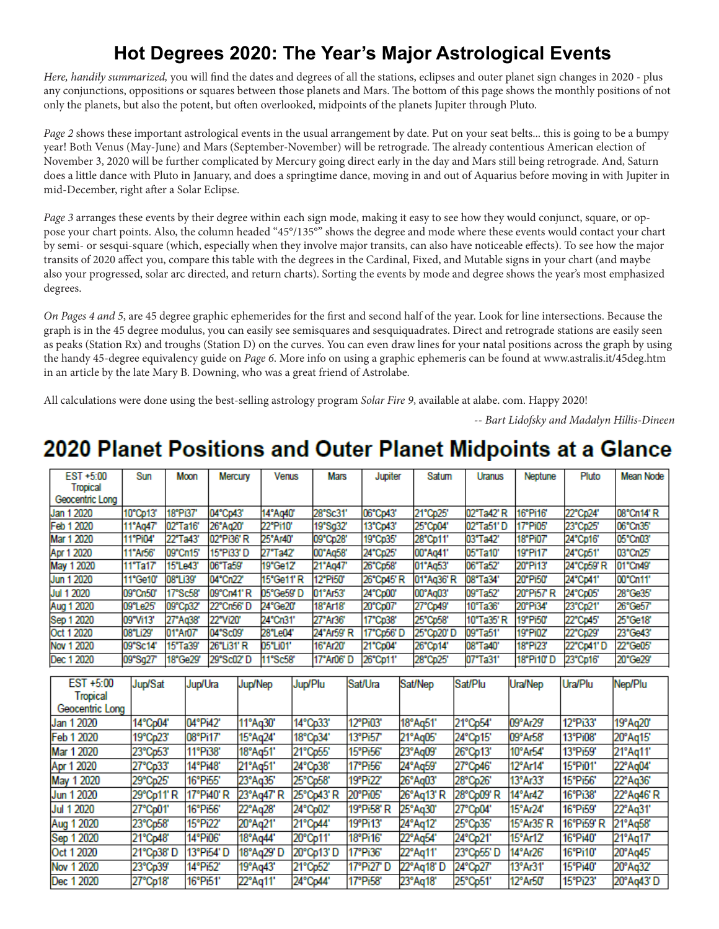### **Hot Degrees 2020: The Year's Major Astrological Events**

Here, handily summarized, you will find the dates and degrees of all the stations, eclipses and outer planet sign changes in 2020 - plus any conjunctions, oppositions or squares between those planets and Mars. The bottom of this page shows the monthly positions of not only the planets, but also the potent, but often overlooked, midpoints of the planets Jupiter through Pluto.

Page 2 shows these important astrological events in the usual arrangement by date. Put on your seat belts... this is going to be a bumpy year! Both Venus (May-June) and Mars (September-November) will be retrograde. The already contentious American election of November 3, 2020 will be further complicated by Mercury going direct early in the day and Mars still being retrograde. And, Saturn does a little dance with Pluto in January, and does a springtime dance, moving in and out of Aquarius before moving in with Jupiter in mid-December, right after a Solar Eclipse.

out of Aquarius before moving in with Jupiter in mid-December, right after a Solar Eclipse. pose your chart points. Also, the column headed "45°/135°" shows the degree and mode where these events would contact your chart by semi- or sesqui-square (which, especially when they involve major transits, can also have noticeable effects). To see how the major transits of 2020 affect you, compare this table with the degrees in the Cardinal, Fixed, and Mutable signs in your chart (and maybe also your progressed, solar arc directed, and return charts). Sorting the events by mode and degree shows the year's most emphasized  $\Delta t$  in your natal chart (and maybe also you progressed, solar-arc-directed and return charts). In the turn charts,  $\Delta t$ *Page 3* arranges these events by their degree within each sign mode, making it easy to see how they would conjunct, square, or opdegrees.

graph is in the 45 degree modulus, you can easily see semisquares and sesquiquadrates. Direct and retrograde stations are easily seen as peaks (Station Rx) and troughs (Station D) on the curves. You can even draw lines for your natal positions across the graph by using the handy 45-degree equivalency guide on Page 6. More info on using a graphic ephemeris can be found at www.astralis.it/45deg.htm in an article by the late Mary B. Downing, who was a great friend of Astrolabe. *On Pages 4 and 5*, are 45 degree graphic ephemerides for the first and second half of the year. Look for line intersections. Because the

All calculations were done using the best-selling astrology program Solar Fire 9, available at alabe. com. Happy 2020!

-- *Bart Lidofsky and Madalyn Hillis-Dineen*

## **2020 Planet Positions and Outer Planet Midpoints at a Glance**

| Mean Node  |
|------------|
|            |
|            |
|            |
| 08°Cn14' R |
| 06°Cn35'   |
| 05°Cn03'   |
| 03°Cn25'   |
| 01°Cn49'   |
| 00°Cn11'   |
| 28°Ge35'   |
| 26°Ge57'   |
| 25°Ge18'   |
| 23°Ge43'   |
| 22°Ge05'   |
| 20°Ge29'   |
|            |

| EST +5:00       | Jup/Sat   | Jup/Ura   | Jup/Nep    | Jup/Plu   | Sat/Ura    | Sat/Nep   | Sat/Plu   | Ura/Nep    | Ura/Plu   | Nep/Plu   |
|-----------------|-----------|-----------|------------|-----------|------------|-----------|-----------|------------|-----------|-----------|
| Tropical        |           |           |            |           |            |           |           |            |           |           |
| Geocentric Long |           |           |            |           |            |           |           |            |           |           |
| Jan 1 2020      | 14°Cp04'  | 04°Pi42'  | 11°Aq30'   | 14°Cp33'  | 12°Pi03'   | 18°Aq51'  | 21°Cp54'  | 09°Ar29'   | 12°Pi33'  | 19°Aq20'  |
| Feb 1 2020      | 19°Cp23'  | 08°Pi17'  | 15°Aq24'   | 18°Cp34'  | 13°Pi57'   | 21°Aq05'  | 24°Cp15'  | 09°Ar58'   | 13°Pi08'  | 20°Aq15'  |
| Mar 1 2020      | 23°Cp53'  | 11°Pi38'  | 18°Ag51'   | 21°Cp55'  | 15°Pi56'   | 23°Aq09'  | 26°Cp13'  | 10°Ar54'   | 13°Pi59'  | 21°Aq11'  |
| Apr 1 2020      | 27°Cp33'  | 14°Pi48'  | 21°Aq51'   | 24°Cp38'  | 17°Pi56'   | 24°Aq59'  | 27°Cp46'  | 12°Ar14'   | 15°Pi01'  | 22°Aq04'  |
| May 1 2020      | 29°Cp25'  | 16°Pi55'  | 23°Aq35'   | 25°Cp58'  | 19°Pi22'   | 26°Aq03'  | 28°Cp26'  | 13°Ar33'   | 15°Pi56'  | 22°Aq36'  |
| Jun 1 2020      | 29°Cp11'R | 17°Pi40'R | 23°Aq47' R | 25°Cp43'R | 20°Pi05'   | 26°Aq13'R | 28°Cp09'R | 14°Ar42'   | 16°Pi38'  | 22°Aq46'R |
| Jul 1 2020      | 27°Cp01'  | 16°Pi56'  | 22°Aq28'   | 24°Cp02'  | 19°Pi58'R  | 25°Aq30'  | 27°Cp04'  | 15°Ar24'   | 16°Pi59'  | 22°Aq31'  |
| Aug 1 2020      | 23°Cp58'  | 15°Pi22'  | 20°Aq21'   | 21°Cp44'  | 19°Pi13'   | 24°Aq12'  | 25°Cp35'  | 15°Ar35' R | 16°Pi59'R | 21°Ag58'  |
| Sep 1 2020      | 21°Cp48'  | 14°Pi06'  | 18°Aq44'   | 20°Cp11'  | 18°Pi16'   | 22°Aq54'  | 24°Cp21'  | 15°Ar12'   | 16°Pi40'  | 21°Aq17'  |
| Oct 1 2020      | 21°Cp38'D | 13°Pi54'D | 18°Aq29' D | 20°Cp13'D | 17°Pi36'   | 22°Aq11'  | 23°Cp55'D | 14°Ar26'   | 16°Pi10'  | 20°Aq45'  |
| Nov 1 2020      | 23°Cp39'  | 14°Pi52'  | 19°Aq43'   | 21°Cp52'  | 17°Pi27' D | 22°Aq18'D | 24°Cp27'  | 13°Ar31'   | 15°Pi40'  | 20°Aq32'  |
| Dec 1 2020      | 27°Cp18'  | 16°Pi51'  | 22°Aq11'   | 24°Cp44'  | 17°Pi58'   | 23°Aq18'  | 25°Cp51'  | 12°Ar50'   | 15°Pi23'  | 20°Aq43'D |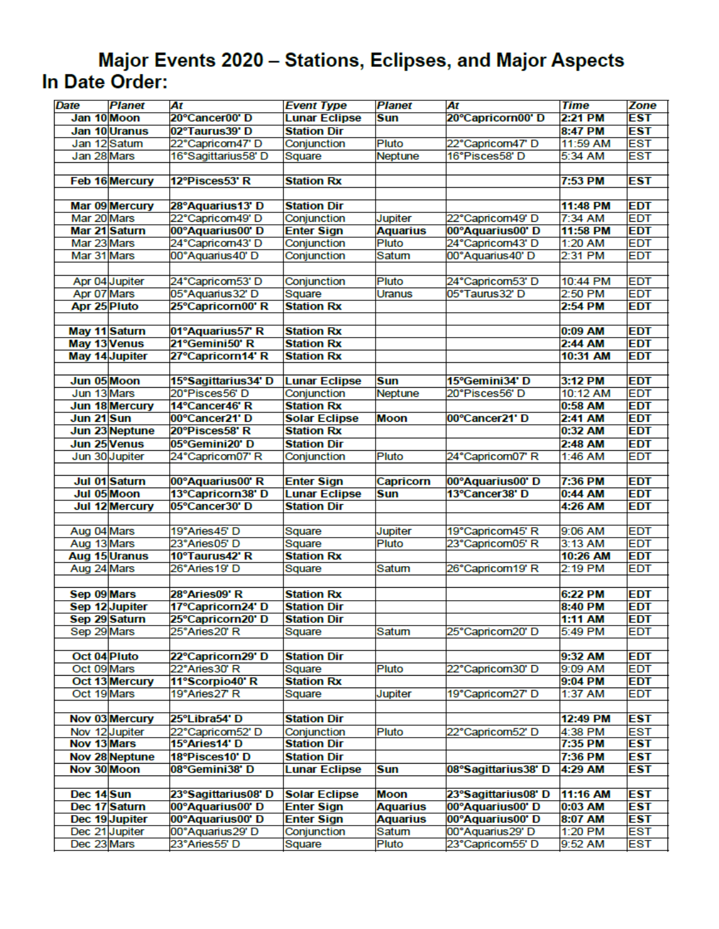#### Major Events 2020 - Stations, Eclipses, and Major Aspects In Date Order:

| <b>Date</b>  | <b>Planet</b>  | At                                | <b>Event Type</b>     | <b>Planet</b>   | At                                   | <b>Time</b>        | <b>Zone</b>              |
|--------------|----------------|-----------------------------------|-----------------------|-----------------|--------------------------------------|--------------------|--------------------------|
|              | Jan 10 Moon    | 20°Cancer00' D                    | <b>Lunar Eclipse</b>  | <b>Sun</b>      | 20°Capricorn00' D                    | 2:21 PM            | <b>EST</b>               |
|              | Jan 10 Uranus  | 02°Taurus39'D                     | <b>Station Dir</b>    |                 |                                      | 8:47 PM            | <b>EST</b>               |
|              | Jan 12 Satum   | 22°Capricom47' D                  | Conjunction           | <b>Pluto</b>    | 22°Capricom47' D                     | 11:59 AM           | <b>EST</b>               |
| Jan 28 Mars  |                | 16°Sagittarius58' D               | Square                | Neptune         | 16°Pisces58' D                       | 5:34 AM            | <b>EST</b>               |
|              |                |                                   |                       |                 |                                      |                    |                          |
|              | Feb 16 Mercury | 12°Pisces53' R                    | <b>Station Rx</b>     |                 |                                      | 7:53 PM            | <b>EST</b>               |
|              |                |                                   |                       |                 |                                      |                    |                          |
|              | Mar 09 Mercury | 28°Aquarius13' D                  | <b>Station Dir</b>    |                 |                                      | 11:48 PM           | <b>EDT</b>               |
| Mar 20 Mars  |                | 22°Capricom49' D                  | Conjunction           | Jupiter         | 22°Capricom49' D                     | $7:34$ AM          | <b>EDT</b>               |
|              | Mar 21 Saturn  | 00°Aquarius00' D                  | <b>Enter Sign</b>     | <b>Aquarius</b> | 00°Aquarius00' D                     | 11:58 PM           | <b>EDT</b>               |
| Mar 23 Mars  |                | 24°Capricom43' D                  | Conjunction           | Pluto           | 24°Capricom43' D                     | 1:20 AM            | <b>EDT</b>               |
| Mar 31 Mars  |                | 00°Aquarius40'D                   | Conjunction           | Satum           | 00°Aquarius40' D                     | 2:31 PM            | <b>EDT</b>               |
|              |                |                                   |                       |                 |                                      |                    |                          |
|              |                |                                   |                       |                 |                                      |                    |                          |
|              | Apr 04 Jupiter | 24°Capricom53' D                  | Conjunction           | Pluto           | 24°Capricom53' D                     | 10:44 PM           | <b>EDT</b>               |
| Apr 07 Mars  |                | 05°Aquarius32' D                  | Square                | <b>Uranus</b>   | 05°Taurus32'D                        | 2:50 PM            | <b>EDT</b>               |
| Apr 25 Pluto |                | 25°Capricorn00' R                 | <b>Station Rx</b>     |                 |                                      | 2:54 PM            | <b>EDT</b>               |
|              |                |                                   |                       |                 |                                      |                    |                          |
|              | May 11 Saturn  | 01°Aquarius57' R                  | <b>Station Rx</b>     |                 |                                      | 0:09 AM            | <b>EDT</b>               |
|              | May 13 Venus   | 21°Gemini50' R                    | <b>Station Rx</b>     |                 |                                      | 2:44 AM            | <b>EDT</b>               |
|              | May 14 Jupiter | 27°Capricorn14' R                 | <b>Station Rx</b>     |                 |                                      | 10:31 AM           | <b>EDT</b>               |
|              |                |                                   |                       |                 |                                      |                    |                          |
| Jun 05 Moon  |                | 15°Sagittarius34'D                | <b>Lunar Eclipse</b>  | <b>Sun</b>      | 15°Gemini34' D                       | 3:12 PM            | <b>EDT</b>               |
| Jun 13 Mars  |                | 20°Pisces56'D                     | Conjunction           | Neptune         | 20°Pisces56'D                        | 10:12 AM           | <b>EDT</b>               |
|              | Jun 18 Mercury | 14°Cancer46' R                    | <b>Station Rx</b>     |                 |                                      | 0:58 AM            | <b>EDT</b>               |
| Jun 21 Sun   |                | 00°Cancer21' D                    | <b>Solar Eclipse</b>  | <b>Moon</b>     | 00°Cancer21' D                       | 2:41 AM            | <b>EDT</b>               |
|              | Jun 23 Neptune | 20°Pisces58' R                    | <b>Station Rx</b>     |                 |                                      | $0:32$ AM          | <b>EDT</b>               |
|              | Jun 25 Venus   | 05°Gemini20' D                    | <b>Station Dir</b>    |                 |                                      | 2:48 AM            | <b>EDT</b>               |
|              | Jun 30 Jupiter | 24°Capricom07' R                  | Conjunction           | Pluto           | 24°Capricom07' R                     | 1:46 AM            | <b>EDT</b>               |
|              |                |                                   |                       |                 |                                      |                    |                          |
|              |                |                                   |                       |                 |                                      |                    |                          |
|              | Jul 01 Saturn  | 00°Aquarius00' R                  | <b>Enter Sign</b>     | Capricorn       | 00°Aquarius00' D                     | 7:36 PM            | <b>EDT</b>               |
|              | Jul 05 Moon    | 13°Capricorn38' D                 | <b>Lunar Eclipse</b>  | Sun             | 13°Cancer38' D                       | 0:44 AM            | <b>EDT</b>               |
|              | Jul 12 Mercury | 05°Cancer30' D                    | <b>Station Dir</b>    |                 |                                      | 4:26 AM            | <b>EDT</b>               |
|              |                |                                   |                       |                 |                                      |                    |                          |
| Aug 04 Mars  |                | 19°Aries45' D                     | Square                | <b>Jupiter</b>  | 19°Capricom45' R                     | 9:06 AM            | <b>EDT</b>               |
| Aug 13 Mars  |                | 23°Aries05' D                     | Square                | <b>Pluto</b>    | 23°Capricom05' R                     | 3:13 AM            | <b>EDT</b>               |
|              |                |                                   | <b>Station Rx</b>     |                 |                                      |                    |                          |
|              | Aug 15 Uranus  | 10°Taurus42' R<br>26°Aries19' D   |                       | Satum           | 26°Capricom19' R                     | 10:26 AM           | <b>EDT</b><br><b>EDT</b> |
| Aug 24 Mars  |                |                                   | Square                |                 |                                      | 2:19 PM            |                          |
|              |                |                                   |                       |                 |                                      |                    |                          |
| Sep 09 Mars  |                | 28°Aries09' R                     | <b>Station Rx</b>     |                 |                                      | 6:22 PM            | <b>EDT</b>               |
|              | Sep 12 Jupiter | 17°Capricorn24' D                 | <b>Station Dir</b>    |                 |                                      | 8:40 PM            | <b>EDT</b>               |
|              | Sep 29 Saturn  | 25°Capricorn20' D                 | <b>Station Dir</b>    |                 |                                      | 1:11 AM            | <b>EDT</b>               |
| Sep 29 Mars  |                | 25°Aries20'R                      | Square                | Satum           | 25°Capricom20' D                     | 5:49 PM            | <b>EDT</b>               |
|              |                |                                   |                       |                 |                                      |                    |                          |
|              | Oct 04 Pluto   | 22°Capricorn29' D                 | <b>Station Dir</b>    |                 |                                      | 9:32 AM            | <b>EDT</b>               |
| Oct 09 Mars  |                | 22°Aries30' R                     | Square                | Pluto           | 22°Capricom30'D                      | 9:09 AM            | <b>EDT</b>               |
|              | Oct 13 Mercury | 11°Scorpio40' R                   | <b>Station Rx</b>     |                 |                                      | 9:04 PM            | <b>EDT</b>               |
| Oct 19 Mars  |                | 19°Aries27' R                     | Square                | Jupiter         | 19°Capricom27' D                     | 1:37 AM            | <b>EDT</b>               |
|              |                |                                   |                       |                 |                                      |                    |                          |
|              | Nov 03 Mercury | 25°Libra54' D                     | <b>Station Dir</b>    |                 |                                      | 12:49 PM           | <b>EST</b>               |
|              | Nov 12 Jupiter | 22°Capricom52' D                  | Conjunction           | Pluto           | 22°Capricom52' D                     | 4:38 PM            | <b>EST</b>               |
| Nov 13 Mars  |                | 15°Aries14' D                     | <b>Station Dir</b>    |                 |                                      | 7:35 PM            | <b>EST</b>               |
|              | Nov 28 Neptune | 18°Pisces10' D                    | <b>Station Dir</b>    |                 |                                      | 7:36 PM            | <b>EST</b>               |
| Nov 30 Moon  |                | 08°Gemini38' D                    | <b>Lunar Eclipse</b>  | <b>Sun</b>      | 08°Sagittarius38' D                  | 4:29 AM            | <b>EST</b>               |
|              |                |                                   |                       |                 |                                      |                    |                          |
| Dec 14 Sun   |                | 23°Sagittarius08'D                | <b>Solar Eclipse</b>  | Moon            | 23°Sagittarius08'D                   | 11:16 AM           | <b>EST</b>               |
|              | Dec 17 Saturn  | 00°Aquarius00' D                  | <b>Enter Sign</b>     | <b>Aquarius</b> | 00°Aquarius00' D                     | $0:03$ AM          | <b>EST</b>               |
|              | Dec 19 Jupiter | 00°Aquarius00' D                  | <b>Enter Sign</b>     | <b>Aquarius</b> | 00°Aquarius00' D                     | 8:07 AM            | <b>EST</b>               |
| Dec 23 Mars  | Dec 21 Jupiter | 00°Aquarius29' D<br>23°Aries55' D | Conjunction<br>Square | Satum<br>Pluto  | 00°Aquarius29' D<br>23°Capricom55' D | 1:20 PM<br>9:52 AM | <b>EST</b><br><b>EST</b> |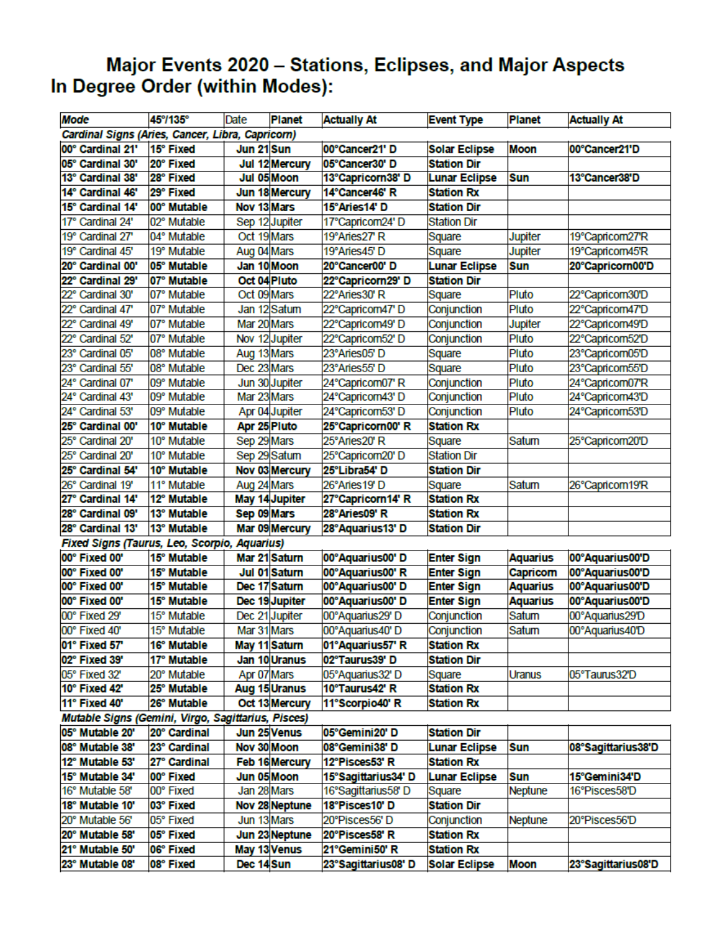# Major Events 2020 – Stations, Eclipses, and Major Aspects<br>In Degree Order (within Modes):

| <b>Mode</b>                                        | 45°/135°     | Date         | Planet                | <b>Actually At</b>  | <b>Event Type</b>    | <b>Planet</b>   | <b>Actually At</b> |
|----------------------------------------------------|--------------|--------------|-----------------------|---------------------|----------------------|-----------------|--------------------|
| Cardinal Signs (Aries, Cancer, Libra, Capricorn)   |              |              |                       |                     |                      |                 |                    |
| 00° Cardinal 21'                                   | 15° Fixed    | Jun 21 Sun   |                       | 00°Cancer21' D      | <b>Solar Eclipse</b> | Moon            | 00°Cancer21'D      |
| 05° Cardinal 30'                                   | 20° Fixed    |              | Jul 12 Mercury        | 05°Cancer30' D      | <b>Station Dir</b>   |                 |                    |
| 13° Cardinal 38'                                   | 28° Fixed    |              | Jul 05 Moon           | 13°Capricorn38' D   | <b>Lunar Eclipse</b> | <b>Sun</b>      | 13°Cancer38'D      |
| 14° Cardinal 46'                                   | 29° Fixed    |              | Jun 18 Mercury        | 14°Cancer46' R      | <b>Station Rx</b>    |                 |                    |
| 15° Cardinal 14'                                   | 00° Mutable  | Nov 13 Mars  |                       | 15°Aries14' D       | <b>Station Dir</b>   |                 |                    |
| 17° Cardinal 24'                                   | 02° Mutable  |              | Sep 12 Jupiter        | 17°Capricom24' D    | <b>Station Dir</b>   |                 |                    |
| 19° Cardinal 27'                                   | 04° Mutable  | Oct 19 Mars  |                       | 19°Aries27' R       | Square               | <b>Jupiter</b>  | 19°Capricom27'R    |
| 19° Cardinal 45'                                   | 19° Mutable  | Aug 04 Mars  |                       | 19°Aries45' D       | Square               | Jupiter         | 19°Capricorn45'R   |
| 20° Cardinal 00'                                   | 05° Mutable  | Jan 10 Moon  |                       | 20°Cancer00' D      | <b>Lunar Eclipse</b> | <b>Sun</b>      | 20°Capricorn00'D   |
| 22° Cardinal 29'                                   | 07° Mutable  | Oct 04 Pluto |                       | 22°Capricorn29' D   | <b>Station Dir</b>   |                 |                    |
| 22° Cardinal 30'                                   | 07° Mutable  | Oct 09 Mars  |                       | 22°Aries30' R       | Square               | Pluto           | 22°Capricom30'D    |
| 22° Cardinal 47'                                   | 07° Mutable  |              | Jan 12 Satum          | 22°Capricorn47' D   | Conjunction          | Pluto           | 22°Capricorn47'D   |
| Cardinal 49'<br>22°                                | 07° Mutable  | Mar 20 Mars  |                       | 22°Capricorn49'D    | Conjunction          | Jupiter         | 22°Capricorn49′D   |
| Cardinal 52'<br>22°                                | 07° Mutable  |              | Nov 12 Jupiter        | 22°Capricom52' D    | Conjunction          | Pluto           | 22°Capricom52'D    |
| 23° Cardinal 05'                                   | 08° Mutable  | Aug 13 Mars  |                       | 23°Aries05'D        | Square               | Pluto           | 23°Capricom05'D    |
| 23° Cardinal 55'                                   | 08° Mutable  | Dec 23 Mars  |                       | 23°Aries55' D       | Square               | Pluto           | 23°Capricom55'D    |
| 24° Cardinal 07'                                   | 09° Mutable  |              | Jun 30 Jupiter        | 24°Capricom07' R    | Conjunction          | Pluto           | 24°Capricorn07'R   |
| 24° Cardinal 43'                                   | 09° Mutable  | Mar 23 Mars  |                       | 24°Capricom43' D    | Conjunction          | Pluto           | 24°Capricorn43'D   |
| 24° Cardinal 53'                                   | 09° Mutable  |              | Apr 04 Jupiter        | 24°Capricom53' D    | Conjunction          | Pluto           | 24°Capricorn53'D   |
| 25° Cardinal 00'                                   | 10° Mutable  | Apr 25 Pluto |                       | 25°Capricorn00' R   | <b>Station Rx</b>    |                 |                    |
| 25° Cardinal 20'                                   | 10° Mutable  | Sep 29 Mars  |                       | 25°Aries20' R       | Square               | Satum           | 25°Capricom20'D    |
| 25° Cardinal 20'                                   | 10° Mutable  | Sep 29 Satum |                       | 25°Capricom20' D    | <b>Station Dir</b>   |                 |                    |
| 25° Cardinal 54'                                   | 10° Mutable  |              | Nov 03 Mercury        | 25°Libra54' D       | <b>Station Dir</b>   |                 |                    |
| 26° Cardinal 19'                                   | 11° Mutable  | Aug 24 Mars  |                       | 26°Aries19' D       | Square               | Satum           | 26°Capricom19'R    |
| 27° Cardinal 14'                                   | 12° Mutable  |              | May 14 Jupiter        | 27°Capricorn14' R   | <b>Station Rx</b>    |                 |                    |
| 28° Cardinal 09'                                   | 13° Mutable  | Sep 09 Mars  |                       | 28°Aries09' R       | <b>Station Rx</b>    |                 |                    |
| 28° Cardinal 13'                                   | 13° Mutable  |              | Mar 09 Mercury        | 28°Aquarius13'D     | <b>Station Dir</b>   |                 |                    |
| Fixed Signs (Taurus, Leo, Scorpio, Aquarius)       |              |              |                       |                     |                      |                 |                    |
| 00° Fixed 00'                                      | 15° Mutable  |              | Mar 21 Saturn         | 00°Aquarius00' D    | <b>Enter Sign</b>    | <b>Aquarius</b> | 00°Aquarius00'D    |
| 00° Fixed 00'                                      | 15° Mutable  |              | Jul 01 Saturn         | 00°Aquarius00' R    | <b>Enter Sign</b>    | Capricom        | 00°Aquarius00'D    |
| 00° Fixed 00'                                      | 15° Mutable  |              | Dec 17 Saturn         | 00°Aquarius00'D     | <b>Enter Sign</b>    | <b>Aquarius</b> | 00°Aquarius00'D    |
| 00° Fixed 00'                                      | 15° Mutable  |              | Dec 19 Jupiter        | 00°Aquarius00' D    | <b>Enter Sign</b>    | <b>Aquarius</b> | 00°Aquarius00'D    |
| 00° Fixed 29'                                      | 15° Mutable  |              | Dec 21 Jupiter        | 00°Aquarius29' D    | Conjunction          | Satum           | 00°Aquarius29'D    |
| 00° Fixed 40'                                      | 15° Mutable  | Mar 31 Mars  |                       | 00°Aquarius40' D    | Conjunction          | Satum           | 00°Aquarius40'D    |
| 01° Fixed 57'                                      | 16° Mutable  |              | May 11 Saturn         | 01°Aquarius57' R    | <b>Station Rx</b>    |                 |                    |
| 02° Fixed 39'                                      | 17° Mutable  |              | Jan 10 Uranus         | 02°Taurus39'D       | <b>Station Dir</b>   |                 |                    |
| 05° Fixed 32'                                      | 20° Mutable  | Apr 07 Mars  |                       | 05°Aquarius32' D    | Square               | Uranus          | 05°Taurus32'D      |
| 10° Fixed 42'                                      | 25° Mutable  |              | Aug 15 Uranus         | 10°Taurus42' R      | <b>Station Rx</b>    |                 |                    |
| 11° Fixed 40'                                      | 26° Mutable  |              | Oct 13 Mercury        | 11°Scorpio40' R     | <b>Station Rx</b>    |                 |                    |
| Mutable Signs (Gemini, Virgo, Sagittarius, Pisces) |              |              |                       |                     |                      |                 |                    |
| 05° Mutable 20'                                    | 20° Cardinal |              | Jun 25 Venus          | 05°Gemini20'D       | <b>Station Dir</b>   |                 |                    |
| 08° Mutable 38'                                    | 23° Cardinal | Nov 30 Moon  |                       | 08°Gemini38'D       | <b>Lunar Eclipse</b> | <b>Sun</b>      | 08°Sagittarius38'D |
| 12° Mutable 53'                                    | 27° Cardinal |              | <b>Feb 16 Mercury</b> | 12°Pisces53' R      | <b>Station Rx</b>    |                 |                    |
| 15° Mutable 34'                                    | 00° Fixed    | Jun 05 Moon  |                       | 15°Sagittarius34'D  | <b>Lunar Eclipse</b> | <b>Sun</b>      | 15°Gemini34'D      |
| 16° Mutable 58'                                    | 00° Fixed    | Jan 28 Mars  |                       | 16°Sagittarius58' D | Square               | <b>Neptune</b>  | 16°Pisces58'D      |
| 18° Mutable 10'                                    | 03° Fixed    |              | Nov 28 Neptune        | 18°Pisces10' D      | <b>Station Dir</b>   |                 |                    |
| 20° Mutable 56'                                    | 05° Fixed    | Jun 13 Mars  |                       | 20°Pisces56'D       | Conjunction          | <b>Neptune</b>  | 20°Pisces56'D      |
| 20° Mutable 58'                                    | 05° Fixed    |              | Jun 23 Neptune        | 20°Pisces58' R      | <b>Station Rx</b>    |                 |                    |
| 21° Mutable 50'                                    | 06° Fixed    |              | May 13 Venus          | 21°Gemini50' R      | <b>Station Rx</b>    |                 |                    |
| 23° Mutable 08'                                    | 08° Fixed    | Dec 14 Sun   |                       | 23°Sagittarius08'D  | <b>Solar Eclipse</b> | <b>Moon</b>     | 23°Sagittarius08'D |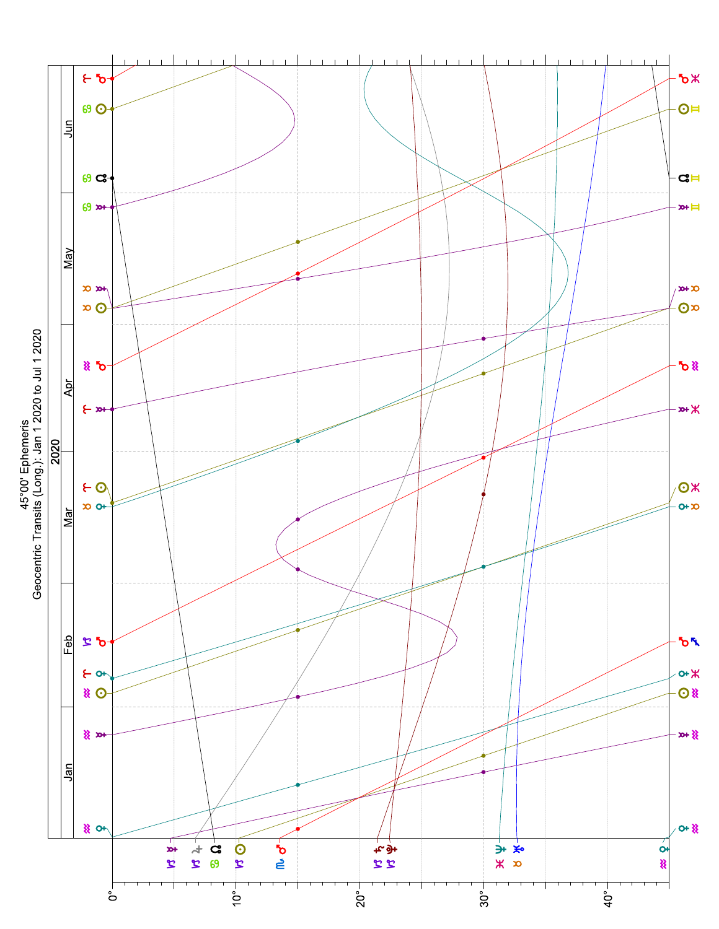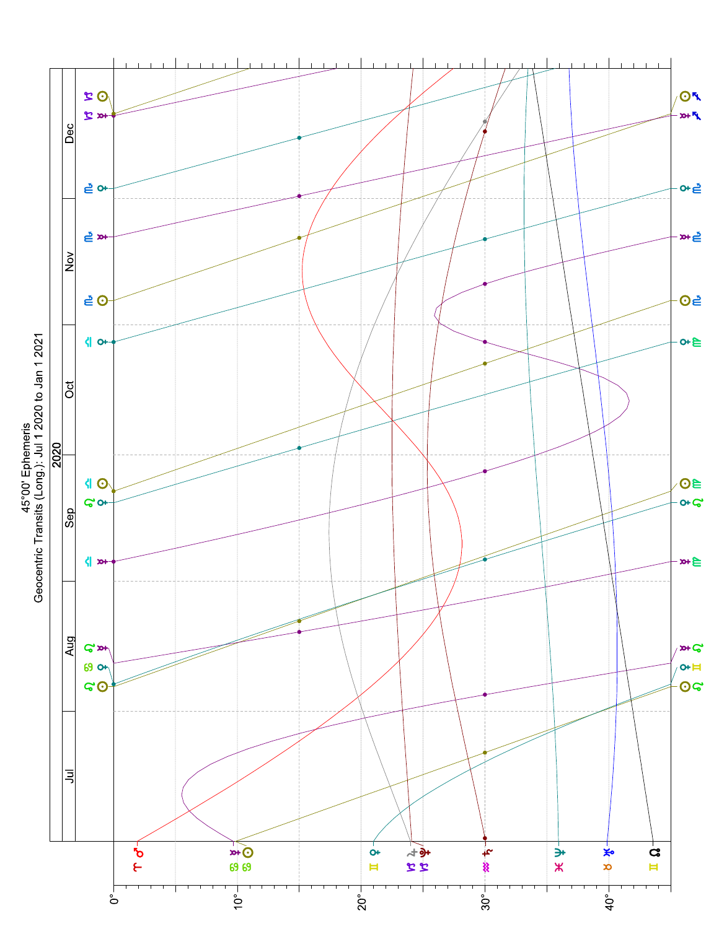